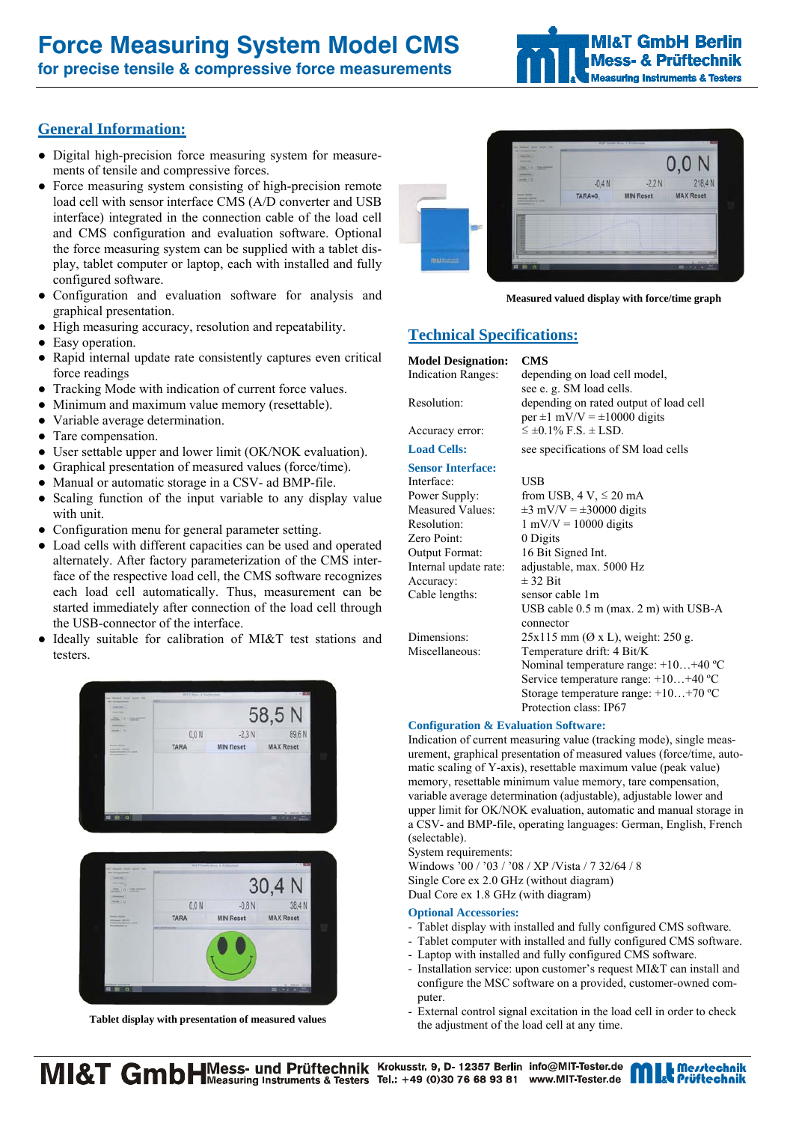# **Force Measuring System Model CMS**

**for precise tensile & compressive force measurements** 



# **General Information:**

- Digital high-precision force measuring system for measurements of tensile and compressive forces.
- Force measuring system consisting of high-precision remote load cell with sensor interface CMS (A/D converter and USB interface) integrated in the connection cable of the load cell and CMS configuration and evaluation software. Optional the force measuring system can be supplied with a tablet display, tablet computer or laptop, each with installed and fully configured software.
- Configuration and evaluation software for analysis and graphical presentation.
- High measuring accuracy, resolution and repeatability.
- Easy operation.
- Rapid internal update rate consistently captures even critical force readings
- Tracking Mode with indication of current force values.
- Minimum and maximum value memory (resettable).
- Variable average determination.
- Tare compensation.
- User settable upper and lower limit (OK/NOK evaluation).
- Graphical presentation of measured values (force/time).
- Manual or automatic storage in a CSV- ad BMP-file.
- Scaling function of the input variable to any display value with unit.
- Configuration menu for general parameter setting.
- Load cells with different capacities can be used and operated alternately. After factory parameterization of the CMS interface of the respective load cell, the CMS software recognizes each load cell automatically. Thus, measurement can be started immediately after connection of the load cell through the USB-connector of the interface.
- Ideally suitable for calibration of MI&T test stations and testers.





**Tablet display with presentation of measured values** 



**Measured valued display with force/time graph** 

# **Technical Specifications:**

# **Model Designation: CMS**

## **Sensor Interface:**

Interface: USB Zero Point: 0 Digits Output Format: 16 Bit Signed Int. Accuracy:  $\pm 32 \text{ Bit}$ Cable lengths: sensor cable 1m

#### depending on load cell model, see e. g. SM load cells. Resolution: depending on rated output of load cell per  $\pm 1$  mV/V =  $\pm 10000$  digits Accuracy error:  $\leq \pm 0.1\%$  F.S.  $\pm$  LSD.

Load Cells: see specifications of SM load cells

Power Supply: from USB,  $4 \text{ V}$ ,  $\leq 20 \text{ mA}$ <br>Measured Values:  $\pm 3 \text{ mV/V} = \pm 30000 \text{ digits}$  $\pm 3$  mV/V =  $\pm 30000$  digits Resolution:  $1 \text{ mV/V} = 10000 \text{ digits}$ Internal update rate: adjustable, max. 5000 Hz USB cable 0.5 m (max. 2 m) with USB-A connector Dimensions:  $25x115 \text{ mm}$  ( $\varnothing$  x L), weight: 250 g. Miscellaneous: Temperature drift: 4 Bit/K Nominal temperature range: +10…+40 ºC Service temperature range: +10…+40 ºC Storage temperature range: +10…+70 ºC Protection class: IP67

### **Configuration & Evaluation Software:**

Indication of current measuring value (tracking mode), single measurement, graphical presentation of measured values (force/time, automatic scaling of Y-axis), resettable maximum value (peak value) memory, resettable minimum value memory, tare compensation, variable average determination (adjustable), adjustable lower and upper limit for OK/NOK evaluation, automatic and manual storage in a CSV- and BMP-file, operating languages: German, English, French (selectable).

System requirements:

Windows '00 / '03 / '08 / XP /Vista / 7 32/64 / 8 Single Core ex 2.0 GHz (without diagram) Dual Core ex 1.8 GHz (with diagram)

### **Optional Accessories:**

- Tablet display with installed and fully configured CMS software.
- Tablet computer with installed and fully configured CMS software.
- Laptop with installed and fully configured CMS software.
- Installation service: upon customer's request MI&T can install and configure the MSC software on a provided, customer-owned computer.
- External control signal excitation in the load cell in order to check the adjustment of the load cell at any time.